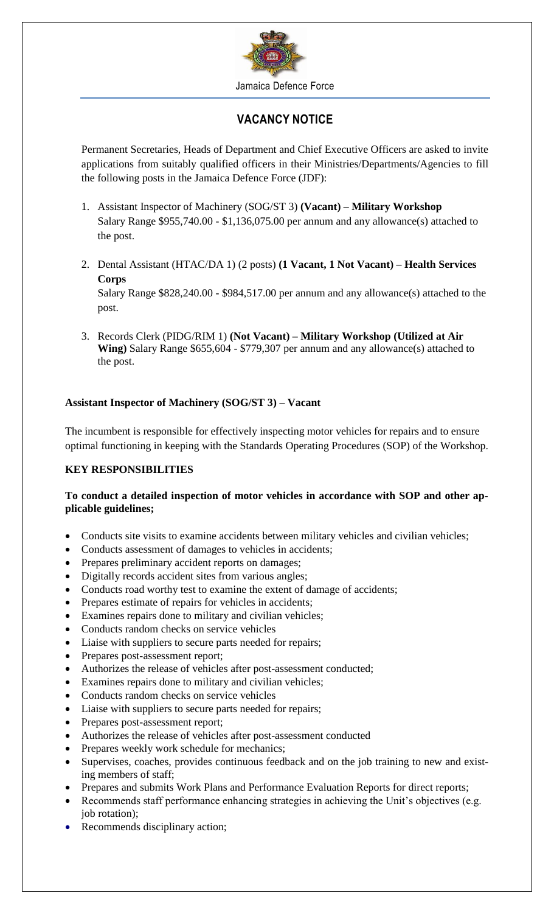

# **VACANCY NOTICE**

Permanent Secretaries, Heads of Department and Chief Executive Officers are asked to invite applications from suitably qualified officers in their Ministries/Departments/Agencies to fill the following posts in the Jamaica Defence Force (JDF):

- 1. Assistant Inspector of Machinery (SOG/ST 3) **(Vacant) – Military Workshop** Salary Range \$955,740.00 - \$1,136,075.00 per annum and any allowance(s) attached to the post.
- 2. Dental Assistant (HTAC/DA 1) (2 posts) **(1 Vacant, 1 Not Vacant) – Health Services Corps** Salary Range \$828,240.00 - \$984,517.00 per annum and any allowance(s) attached to the post.
- 3. Records Clerk (PIDG/RIM 1) **(Not Vacant) – Military Workshop (Utilized at Air Wing)** Salary Range \$655,604 - \$779,307 per annum and any allowance(s) attached to the post.

## **Assistant Inspector of Machinery (SOG/ST 3) – Vacant**

The incumbent is responsible for effectively inspecting motor vehicles for repairs and to ensure optimal functioning in keeping with the Standards Operating Procedures (SOP) of the Workshop.

## **KEY RESPONSIBILITIES**

## **To conduct a detailed inspection of motor vehicles in accordance with SOP and other applicable guidelines;**

- Conducts site visits to examine accidents between military vehicles and civilian vehicles;
- Conducts assessment of damages to vehicles in accidents;
- Prepares preliminary accident reports on damages;
- Digitally records accident sites from various angles;
- Conducts road worthy test to examine the extent of damage of accidents;
- Prepares estimate of repairs for vehicles in accidents;
- Examines repairs done to military and civilian vehicles;
- Conducts random checks on service vehicles
- Liaise with suppliers to secure parts needed for repairs;
- Prepares post-assessment report;
- Authorizes the release of vehicles after post-assessment conducted;
- Examines repairs done to military and civilian vehicles;
- Conducts random checks on service vehicles
- Liaise with suppliers to secure parts needed for repairs;
- Prepares post-assessment report;
- Authorizes the release of vehicles after post-assessment conducted
- Prepares weekly work schedule for mechanics;
- Supervises, coaches, provides continuous feedback and on the job training to new and existing members of staff;
- Prepares and submits Work Plans and Performance Evaluation Reports for direct reports;
- Recommends staff performance enhancing strategies in achieving the Unit's objectives (e.g. job rotation);
- Recommends disciplinary action;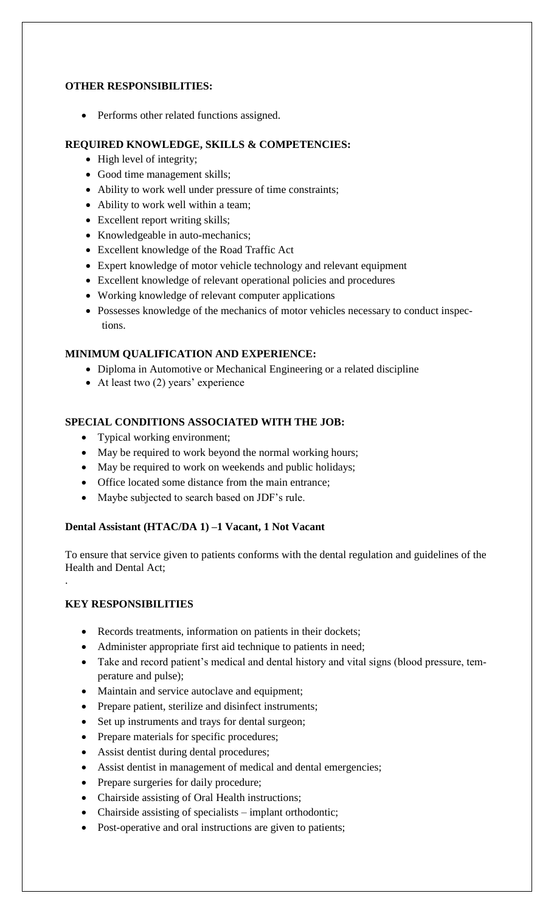### **OTHER RESPONSIBILITIES:**

• Performs other related functions assigned.

### **REQUIRED KNOWLEDGE, SKILLS & COMPETENCIES:**

- High level of integrity;
- Good time management skills;
- Ability to work well under pressure of time constraints;
- Ability to work well within a team;
- Excellent report writing skills;
- Knowledgeable in auto-mechanics;
- Excellent knowledge of the Road Traffic Act
- Expert knowledge of motor vehicle technology and relevant equipment
- Excellent knowledge of relevant operational policies and procedures
- Working knowledge of relevant computer applications
- Possesses knowledge of the mechanics of motor vehicles necessary to conduct inspections.

#### **MINIMUM QUALIFICATION AND EXPERIENCE:**

- Diploma in Automotive or Mechanical Engineering or a related discipline
- At least two (2) years' experience

## **SPECIAL CONDITIONS ASSOCIATED WITH THE JOB:**

- Typical working environment;
- May be required to work beyond the normal working hours;
- May be required to work on weekends and public holidays;
- Office located some distance from the main entrance;
- Maybe subjected to search based on JDF's rule.

## **Dental Assistant (HTAC/DA 1) –1 Vacant, 1 Not Vacant**

To ensure that service given to patients conforms with the dental regulation and guidelines of the Health and Dental Act;

## **KEY RESPONSIBILITIES**

.

- Records treatments, information on patients in their dockets;
- Administer appropriate first aid technique to patients in need;
- Take and record patient's medical and dental history and vital signs (blood pressure, temperature and pulse);
- Maintain and service autoclave and equipment;
- Prepare patient, sterilize and disinfect instruments;
- Set up instruments and trays for dental surgeon;
- Prepare materials for specific procedures;
- Assist dentist during dental procedures;
- Assist dentist in management of medical and dental emergencies;
- Prepare surgeries for daily procedure;
- Chairside assisting of Oral Health instructions;
- Chairside assisting of specialists implant orthodontic;
- Post-operative and oral instructions are given to patients;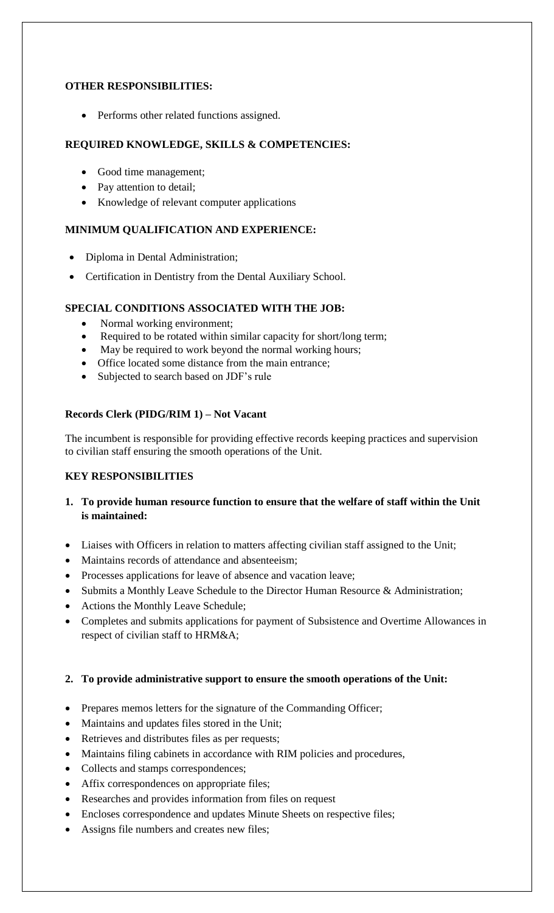### **OTHER RESPONSIBILITIES:**

• Performs other related functions assigned.

## **REQUIRED KNOWLEDGE, SKILLS & COMPETENCIES:**

- Good time management;
- Pay attention to detail;
- Knowledge of relevant computer applications

## **MINIMUM QUALIFICATION AND EXPERIENCE:**

- Diploma in Dental Administration;
- Certification in Dentistry from the Dental Auxiliary School.

## **SPECIAL CONDITIONS ASSOCIATED WITH THE JOB:**

- Normal working environment;
- Required to be rotated within similar capacity for short/long term;
- May be required to work beyond the normal working hours;
- Office located some distance from the main entrance;
- Subjected to search based on JDF's rule

## **Records Clerk (PIDG/RIM 1) – Not Vacant**

The incumbent is responsible for providing effective records keeping practices and supervision to civilian staff ensuring the smooth operations of the Unit.

## **KEY RESPONSIBILITIES**

- **1. To provide human resource function to ensure that the welfare of staff within the Unit is maintained:**
- Liaises with Officers in relation to matters affecting civilian staff assigned to the Unit;
- Maintains records of attendance and absenteeism;
- Processes applications for leave of absence and vacation leave;
- Submits a Monthly Leave Schedule to the Director Human Resource & Administration;
- Actions the Monthly Leave Schedule;
- Completes and submits applications for payment of Subsistence and Overtime Allowances in respect of civilian staff to HRM&A;

## **2. To provide administrative support to ensure the smooth operations of the Unit:**

- Prepares memos letters for the signature of the Commanding Officer;
- Maintains and updates files stored in the Unit;
- Retrieves and distributes files as per requests;
- Maintains filing cabinets in accordance with RIM policies and procedures,
- Collects and stamps correspondences;
- Affix correspondences on appropriate files;
- Researches and provides information from files on request
- Encloses correspondence and updates Minute Sheets on respective files;
- Assigns file numbers and creates new files;